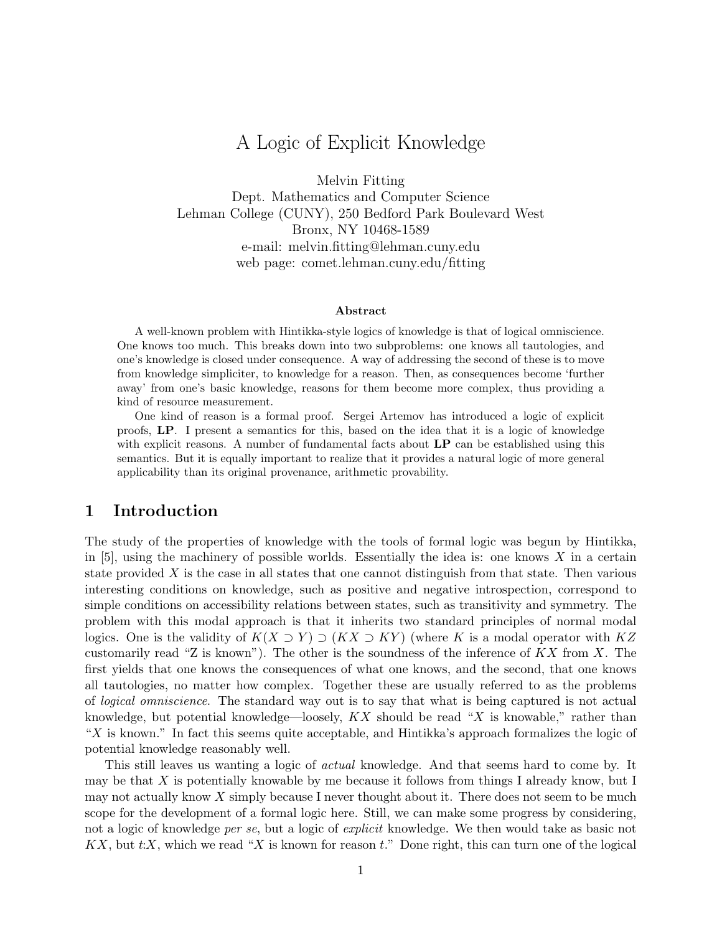# A Logic of Explicit Knowledge

Melvin Fitting

Dept. Mathematics and Computer Science Lehman College (CUNY), 250 Bedford Park Boulevard West Bronx, NY 10468-1589 e-mail: melvin.fitting@lehman.cuny.edu web page: comet.lehman.cuny.edu/fitting

#### Abstract

A well-known problem with Hintikka-style logics of knowledge is that of logical omniscience. One knows too much. This breaks down into two subproblems: one knows all tautologies, and one's knowledge is closed under consequence. A way of addressing the second of these is to move from knowledge simpliciter, to knowledge for a reason. Then, as consequences become 'further away' from one's basic knowledge, reasons for them become more complex, thus providing a kind of resource measurement.

One kind of reason is a formal proof. Sergei Artemov has introduced a logic of explicit proofs, LP. I present a semantics for this, based on the idea that it is a logic of knowledge with explicit reasons. A number of fundamental facts about  $LP$  can be established using this semantics. But it is equally important to realize that it provides a natural logic of more general applicability than its original provenance, arithmetic provability.

# 1 Introduction

The study of the properties of knowledge with the tools of formal logic was begun by Hintikka, in  $[5]$ , using the machinery of possible worlds. Essentially the idea is: one knows X in a certain state provided  $X$  is the case in all states that one cannot distinguish from that state. Then various interesting conditions on knowledge, such as positive and negative introspection, correspond to simple conditions on accessibility relations between states, such as transitivity and symmetry. The problem with this modal approach is that it inherits two standard principles of normal modal logics. One is the validity of  $K(X \supset Y) \supset (KX \supset KY)$  (where K is a modal operator with  $KZ$ customarily read "Z is known"). The other is the soundness of the inference of  $K X$  from X. The first yields that one knows the consequences of what one knows, and the second, that one knows all tautologies, no matter how complex. Together these are usually referred to as the problems of logical omniscience. The standard way out is to say that what is being captured is not actual knowledge, but potential knowledge—loosely,  $KX$  should be read "X is knowable," rather than " $X$  is known." In fact this seems quite acceptable, and Hintikka's approach formalizes the logic of potential knowledge reasonably well.

This still leaves us wanting a logic of *actual* knowledge. And that seems hard to come by. It may be that  $X$  is potentially knowable by me because it follows from things I already know, but I may not actually know  $X$  simply because I never thought about it. There does not seem to be much scope for the development of a formal logic here. Still, we can make some progress by considering, not a logic of knowledge *per se*, but a logic of *explicit* knowledge. We then would take as basic not  $KX$ , but  $t:X$ , which we read "X is known for reason  $t$ ." Done right, this can turn one of the logical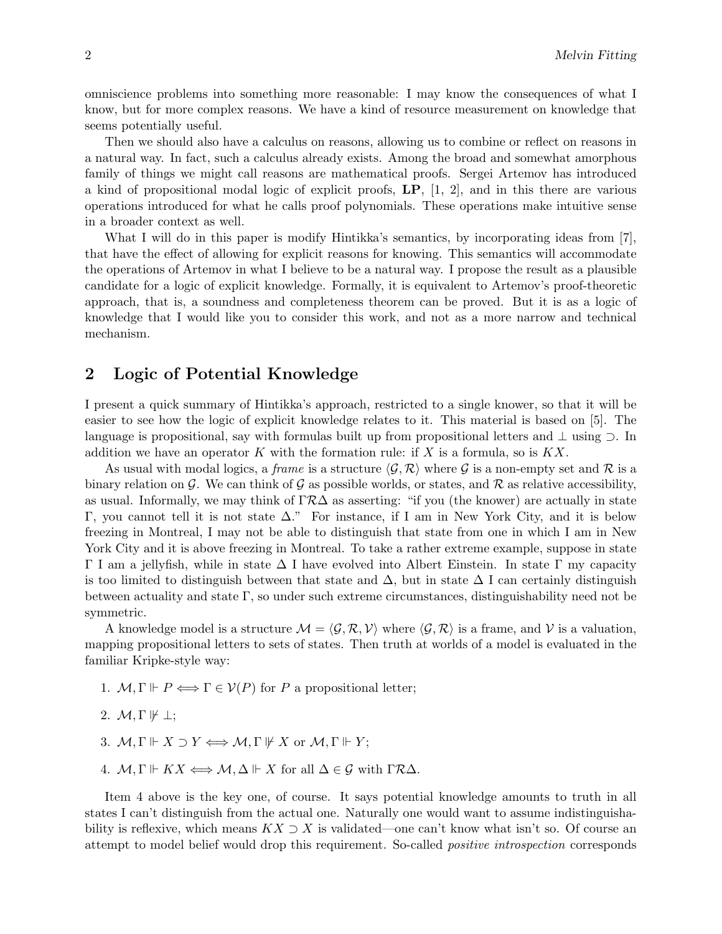omniscience problems into something more reasonable: I may know the consequences of what I know, but for more complex reasons. We have a kind of resource measurement on knowledge that seems potentially useful.

Then we should also have a calculus on reasons, allowing us to combine or reflect on reasons in a natural way. In fact, such a calculus already exists. Among the broad and somewhat amorphous family of things we might call reasons are mathematical proofs. Sergei Artemov has introduced a kind of propositional modal logic of explicit proofs, LP, [1, 2], and in this there are various operations introduced for what he calls proof polynomials. These operations make intuitive sense in a broader context as well.

What I will do in this paper is modify Hintikka's semantics, by incorporating ideas from [7], that have the effect of allowing for explicit reasons for knowing. This semantics will accommodate the operations of Artemov in what I believe to be a natural way. I propose the result as a plausible candidate for a logic of explicit knowledge. Formally, it is equivalent to Artemov's proof-theoretic approach, that is, a soundness and completeness theorem can be proved. But it is as a logic of knowledge that I would like you to consider this work, and not as a more narrow and technical mechanism.

## 2 Logic of Potential Knowledge

I present a quick summary of Hintikka's approach, restricted to a single knower, so that it will be easier to see how the logic of explicit knowledge relates to it. This material is based on [5]. The language is propositional, say with formulas built up from propositional letters and ⊥ using ⊃. In addition we have an operator K with the formation rule: if X is a formula, so is  $KX$ .

As usual with modal logics, a frame is a structure  $\langle \mathcal{G}, \mathcal{R} \rangle$  where G is a non-empty set and R is a binary relation on G. We can think of G as possible worlds, or states, and R as relative accessibility, as usual. Informally, we may think of  $\Gamma \mathcal{R}\Delta$  as asserting: "if you (the knower) are actually in state Γ, you cannot tell it is not state ∆." For instance, if I am in New York City, and it is below freezing in Montreal, I may not be able to distinguish that state from one in which I am in New York City and it is above freezing in Montreal. To take a rather extreme example, suppose in state Γ I am a jellyfish, while in state ∆ I have evolved into Albert Einstein. In state Γ my capacity is too limited to distinguish between that state and  $\Delta$ , but in state  $\Delta$  I can certainly distinguish between actuality and state Γ, so under such extreme circumstances, distinguishability need not be symmetric.

A knowledge model is a structure  $\mathcal{M} = \langle \mathcal{G}, \mathcal{R}, \mathcal{V} \rangle$  where  $\langle \mathcal{G}, \mathcal{R} \rangle$  is a frame, and V is a valuation, mapping propositional letters to sets of states. Then truth at worlds of a model is evaluated in the familiar Kripke-style way:

- 1.  $M, \Gamma \Vdash P \Longleftrightarrow \Gamma \in \mathcal{V}(P)$  for P a propositional letter;
- 2.  $M, \Gamma \not\Vdash \bot;$
- 3.  $M, \Gamma \Vdash X \supset Y \Longleftrightarrow M, \Gamma \Vdash X$  or  $M, \Gamma \Vdash Y$ ;
- 4.  $\mathcal{M}, \Gamma \Vdash KX \Longleftrightarrow \mathcal{M}, \Delta \Vdash X$  for all  $\Delta \in \mathcal{G}$  with  $\Gamma \mathcal{R} \Delta$ .

Item 4 above is the key one, of course. It says potential knowledge amounts to truth in all states I can't distinguish from the actual one. Naturally one would want to assume indistinguishability is reflexive, which means  $KX \supset X$  is validated—one can't know what isn't so. Of course an attempt to model belief would drop this requirement. So-called positive introspection corresponds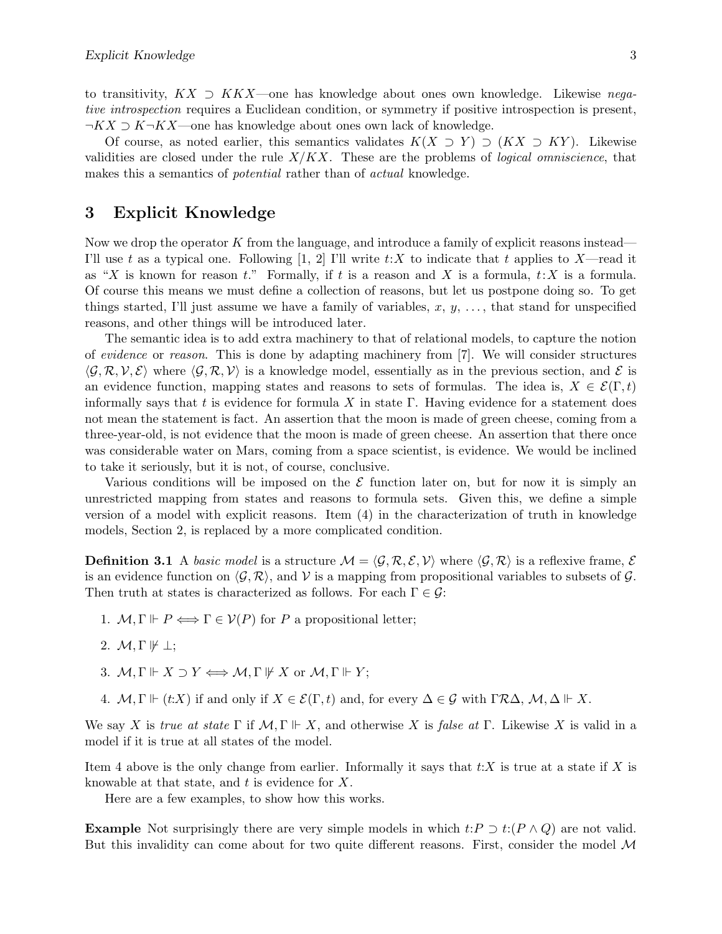to transitivity,  $K\overline{X} \supset K\overline{X}$ —one has knowledge about ones own knowledge. Likewise negative introspection requires a Euclidean condition, or symmetry if positive introspection is present,  $\neg K X \supset K \neg K X$ —one has knowledge about ones own lack of knowledge.

Of course, as noted earlier, this semantics validates  $K(X \supset Y) \supset (KX \supset KY)$ . Likewise validities are closed under the rule  $X/KX$ . These are the problems of *logical omniscience*, that makes this a semantics of *potential* rather than of *actual* knowledge.

# 3 Explicit Knowledge

Now we drop the operator  $K$  from the language, and introduce a family of explicit reasons instead— I'll use t as a typical one. Following [1, 2] I'll write  $t:X$  to indicate that t applies to X—read it as "X is known for reason t." Formally, if t is a reason and X is a formula,  $t:X$  is a formula. Of course this means we must define a collection of reasons, but let us postpone doing so. To get things started, I'll just assume we have a family of variables,  $x, y, \ldots$ , that stand for unspecified reasons, and other things will be introduced later.

The semantic idea is to add extra machinery to that of relational models, to capture the notion of evidence or reason. This is done by adapting machinery from [7]. We will consider structures  $\langle \mathcal{G}, \mathcal{R}, \mathcal{V}, \mathcal{E} \rangle$  where  $\langle \mathcal{G}, \mathcal{R}, \mathcal{V} \rangle$  is a knowledge model, essentially as in the previous section, and E is an evidence function, mapping states and reasons to sets of formulas. The idea is,  $X \in \mathcal{E}(\Gamma, t)$ informally says that t is evidence for formula X in state  $\Gamma$ . Having evidence for a statement does not mean the statement is fact. An assertion that the moon is made of green cheese, coming from a three-year-old, is not evidence that the moon is made of green cheese. An assertion that there once was considerable water on Mars, coming from a space scientist, is evidence. We would be inclined to take it seriously, but it is not, of course, conclusive.

Various conditions will be imposed on the  $\mathcal E$  function later on, but for now it is simply an unrestricted mapping from states and reasons to formula sets. Given this, we define a simple version of a model with explicit reasons. Item (4) in the characterization of truth in knowledge models, Section 2, is replaced by a more complicated condition.

**Definition 3.1** A basic model is a structure  $\mathcal{M} = \langle \mathcal{G}, \mathcal{R}, \mathcal{E}, \mathcal{V} \rangle$  where  $\langle \mathcal{G}, \mathcal{R} \rangle$  is a reflexive frame,  $\mathcal{E}$ is an evidence function on  $\langle \mathcal{G}, \mathcal{R} \rangle$ , and V is a mapping from propositional variables to subsets of  $\mathcal{G}$ . Then truth at states is characterized as follows. For each  $\Gamma \in \mathcal{G}$ :

- 1.  $M, \Gamma \Vdash P \Longleftrightarrow \Gamma \in V(P)$  for P a propositional letter;
- 2.  $\mathcal{M}, \Gamma \not\Vdash \bot;$
- 3.  $M, \Gamma \Vdash X \supset Y \Longleftrightarrow M, \Gamma \Vdash X$  or  $M, \Gamma \Vdash Y$ ;
- 4.  $\mathcal{M}, \Gamma \Vdash (t:X)$  if and only if  $X \in \mathcal{E}(\Gamma, t)$  and, for every  $\Delta \in \mathcal{G}$  with  $\Gamma \mathcal{R} \Delta, \mathcal{M}, \Delta \Vdash X$ .

We say X is true at state  $\Gamma$  if  $\mathcal{M}, \Gamma \Vdash X$ , and otherwise X is false at  $\Gamma$ . Likewise X is valid in a model if it is true at all states of the model.

Item 4 above is the only change from earlier. Informally it says that  $t:X$  is true at a state if X is knowable at that state, and  $t$  is evidence for  $X$ .

Here are a few examples, to show how this works.

**Example** Not surprisingly there are very simple models in which  $t: P \supset t: (P \wedge Q)$  are not valid. But this invalidity can come about for two quite different reasons. First, consider the model  $\mathcal M$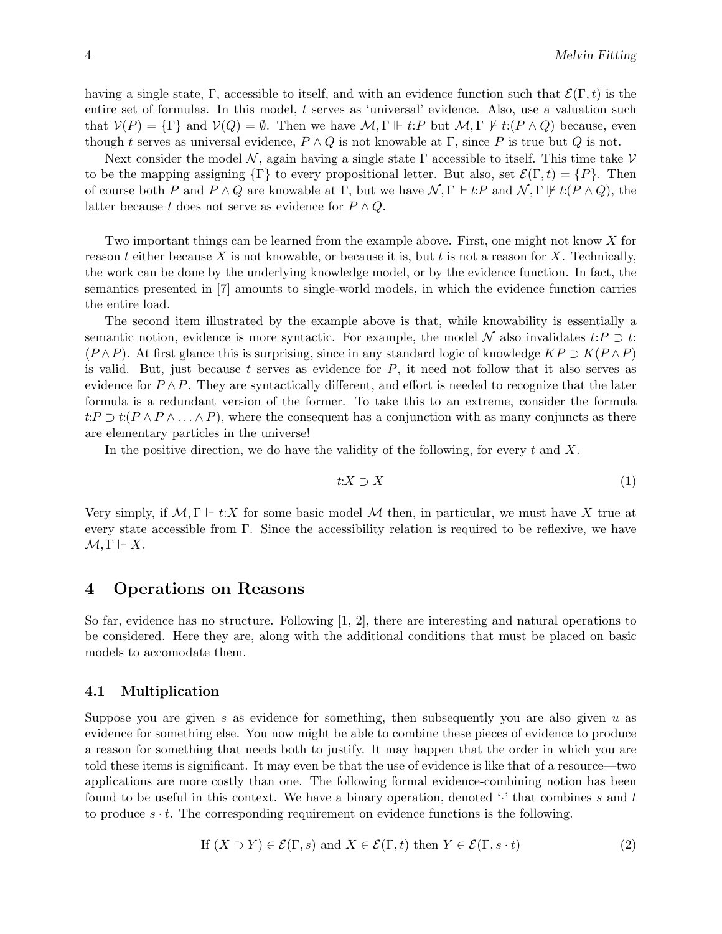having a single state, Γ, accessible to itself, and with an evidence function such that  $\mathcal{E}(\Gamma, t)$  is the entire set of formulas. In this model, t serves as 'universal' evidence. Also, use a valuation such that  $V(P) = \{\Gamma\}$  and  $V(Q) = \emptyset$ . Then we have  $\mathcal{M}, \Gamma \Vdash t: P$  but  $\mathcal{M}, \Gamma \Vdash t: (P \wedge Q)$  because, even though t serves as universal evidence,  $P \wedge Q$  is not knowable at Γ, since P is true but Q is not.

Next consider the model N, again having a single state  $\Gamma$  accessible to itself. This time take V to be the mapping assigning  $\{\Gamma\}$  to every propositional letter. But also, set  $\mathcal{E}(\Gamma,t) = \{P\}$ . Then of course both P and  $P \wedge Q$  are knowable at  $\Gamma$ , but we have  $\mathcal{N}, \Gamma \Vdash t:P$  and  $\mathcal{N}, \Gamma \nvDash t: (P \wedge Q)$ , the latter because t does not serve as evidence for  $P \wedge Q$ .

Two important things can be learned from the example above. First, one might not know X for reason t either because X is not knowable, or because it is, but t is not a reason for X. Technically, the work can be done by the underlying knowledge model, or by the evidence function. In fact, the semantics presented in [7] amounts to single-world models, in which the evidence function carries the entire load.

The second item illustrated by the example above is that, while knowability is essentially a semantic notion, evidence is more syntactic. For example, the model N also invalidates  $t: P \supset t$ :  $(P \wedge P)$ . At first glance this is surprising, since in any standard logic of knowledge  $KP \supset K(P \wedge P)$ is valid. But, just because  $t$  serves as evidence for  $P$ , it need not follow that it also serves as evidence for  $P \wedge P$ . They are syntactically different, and effort is needed to recognize that the later formula is a redundant version of the former. To take this to an extreme, consider the formula  $t:P \supset t(P \wedge P \wedge \ldots \wedge P)$ , where the consequent has a conjunction with as many conjuncts as there are elementary particles in the universe!

In the positive direction, we do have the validity of the following, for every  $t$  and  $X$ .

$$
t: X \supset X \tag{1}
$$

Very simply, if  $\mathcal{M}, \Gamma \Vdash t: X$  for some basic model  $\mathcal M$  then, in particular, we must have X true at every state accessible from Γ. Since the accessibility relation is required to be reflexive, we have  $\mathcal{M}, \Gamma \Vdash X.$ 

### 4 Operations on Reasons

So far, evidence has no structure. Following [1, 2], there are interesting and natural operations to be considered. Here they are, along with the additional conditions that must be placed on basic models to accomodate them.

#### 4.1 Multiplication

Suppose you are given s as evidence for something, then subsequently you are also given u as evidence for something else. You now might be able to combine these pieces of evidence to produce a reason for something that needs both to justify. It may happen that the order in which you are told these items is significant. It may even be that the use of evidence is like that of a resource—two applications are more costly than one. The following formal evidence-combining notion has been found to be useful in this context. We have a binary operation, denoted  $\cdot$  that combines s and t to produce  $s \cdot t$ . The corresponding requirement on evidence functions is the following.

If 
$$
(X \supset Y) \in \mathcal{E}(\Gamma, s)
$$
 and  $X \in \mathcal{E}(\Gamma, t)$  then  $Y \in \mathcal{E}(\Gamma, s \cdot t)$  (2)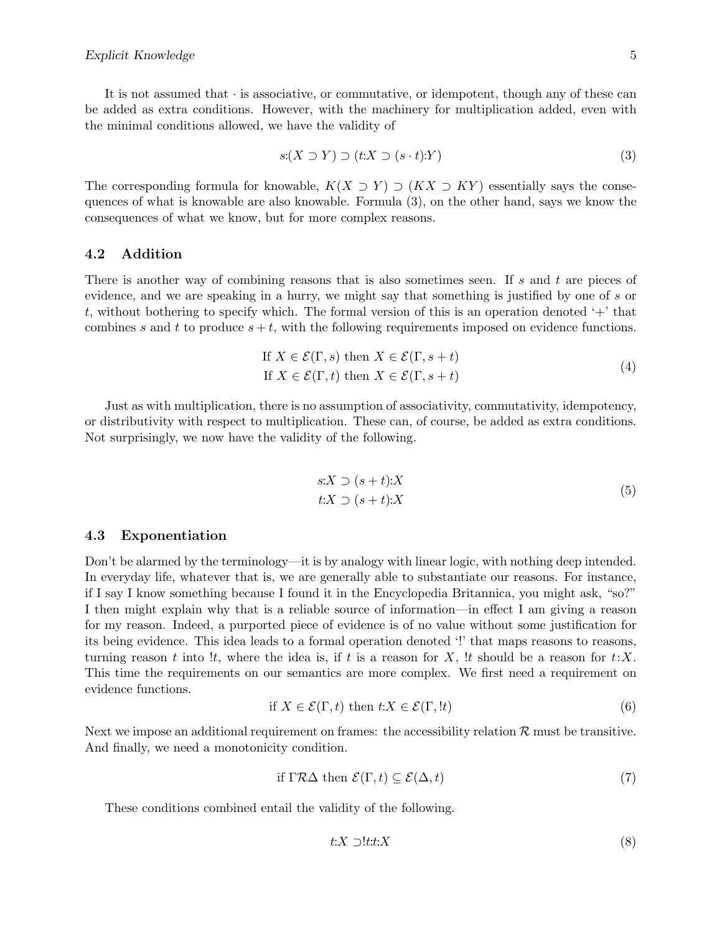It is not assumed that  $\cdot$  is associative, or commutative, or idempotent, though any of these can be added as extra conditions. However, with the machinery for multiplication added, even with the minimal conditions allowed, we have the validity of

$$
s(X \supset Y) \supset (t:X \supset (s \cdot t):Y) \tag{3}
$$

The corresponding formula for knowable,  $K(X \supset Y) \supset (KX \supset KY)$  essentially says the consequences of what is knowable are also knowable. Formula (3), on the other hand, says we know the consequences of what we know, but for more complex reasons.

#### 4.2 Addition

There is another way of combining reasons that is also sometimes seen. If s and t are pieces of evidence, and we are speaking in a hurry, we might say that something is justified by one of s or t, without bothering to specify which. The formal version of this is an operation denoted  $+$  that combines s and t to produce  $s + t$ , with the following requirements imposed on evidence functions.

If 
$$
X \in \mathcal{E}(\Gamma, s)
$$
 then  $X \in \mathcal{E}(\Gamma, s + t)$   
If  $X \in \mathcal{E}(\Gamma, t)$  then  $X \in \mathcal{E}(\Gamma, s + t)$  (4)

Just as with multiplication, there is no assumption of associativity, commutativity, idempotency, or distributivity with respect to multiplication. These can, of course, be added as extra conditions. Not surprisingly, we now have the validity of the following.

$$
s:X \supset (s+t):X
$$
  

$$
t:X \supset (s+t):X
$$
 (5)

#### 4.3 Exponentiation

Don't be alarmed by the terminology—it is by analogy with linear logic, with nothing deep intended. In everyday life, whatever that is, we are generally able to substantiate our reasons. For instance, if I say I know something because I found it in the Encyclopedia Britannica, you might ask, "so?" I then might explain why that is a reliable source of information—in effect I am giving a reason for my reason. Indeed, a purported piece of evidence is of no value without some justification for its being evidence. This idea leads to a formal operation denoted '!' that maps reasons to reasons, turning reason t into !t, where the idea is, if t is a reason for X, !t should be a reason for  $t:X$ . This time the requirements on our semantics are more complex. We first need a requirement on evidence functions.

if 
$$
X \in \mathcal{E}(\Gamma, t)
$$
 then  $t:X \in \mathcal{E}(\Gamma, !t)$  (6)

Next we impose an additional requirement on frames: the accessibility relation  $\mathcal R$  must be transitive. And finally, we need a monotonicity condition.

if 
$$
\Gamma \mathcal{R} \Delta
$$
 then  $\mathcal{E}(\Gamma, t) \subseteq \mathcal{E}(\Delta, t)$  (7)

These conditions combined entail the validity of the following.

$$
t:X \supset !t.t:X \tag{8}
$$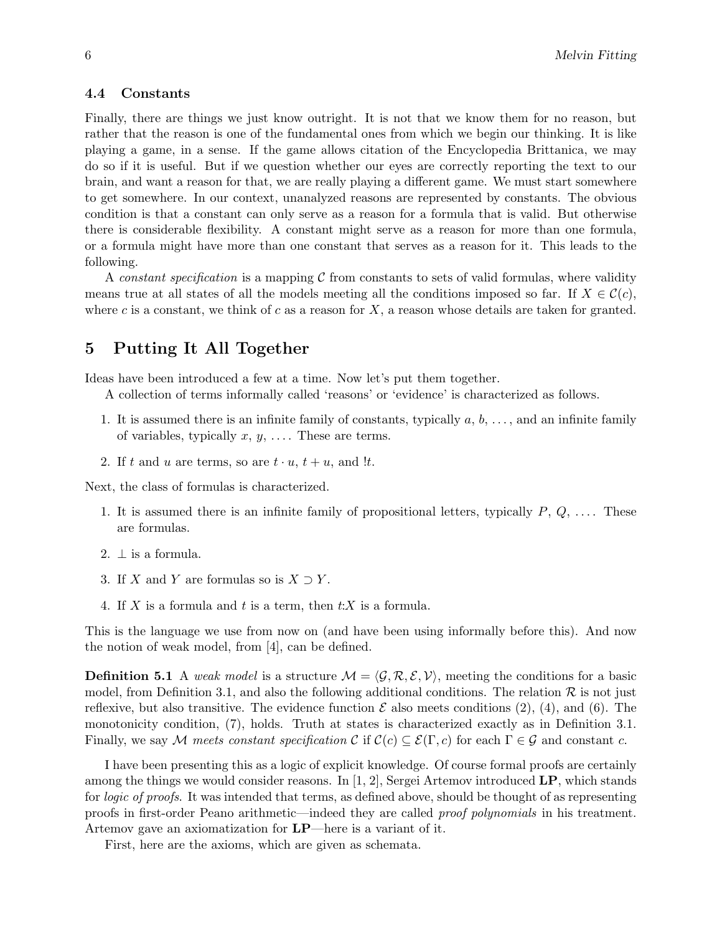#### 4.4 Constants

Finally, there are things we just know outright. It is not that we know them for no reason, but rather that the reason is one of the fundamental ones from which we begin our thinking. It is like playing a game, in a sense. If the game allows citation of the Encyclopedia Brittanica, we may do so if it is useful. But if we question whether our eyes are correctly reporting the text to our brain, and want a reason for that, we are really playing a different game. We must start somewhere to get somewhere. In our context, unanalyzed reasons are represented by constants. The obvious condition is that a constant can only serve as a reason for a formula that is valid. But otherwise there is considerable flexibility. A constant might serve as a reason for more than one formula, or a formula might have more than one constant that serves as a reason for it. This leads to the following.

A constant specification is a mapping  $\mathcal C$  from constants to sets of valid formulas, where validity means true at all states of all the models meeting all the conditions imposed so far. If  $X \in \mathcal{C}(c)$ , where c is a constant, we think of c as a reason for  $X$ , a reason whose details are taken for granted.

# 5 Putting It All Together

Ideas have been introduced a few at a time. Now let's put them together.

A collection of terms informally called 'reasons' or 'evidence' is characterized as follows.

- 1. It is assumed there is an infinite family of constants, typically  $a, b, \ldots$ , and an infinite family of variables, typically  $x, y, \ldots$ . These are terms.
- 2. If t and u are terms, so are  $t \cdot u$ ,  $t + u$ , and !t.

Next, the class of formulas is characterized.

- 1. It is assumed there is an infinite family of propositional letters, typically  $P, Q, \ldots$ . These are formulas.
- 2.  $\perp$  is a formula.
- 3. If X and Y are formulas so is  $X \supset Y$ .
- 4. If X is a formula and t is a term, then  $t:X$  is a formula.

This is the language we use from now on (and have been using informally before this). And now the notion of weak model, from [4], can be defined.

**Definition 5.1** A weak model is a structure  $\mathcal{M} = \langle \mathcal{G}, \mathcal{R}, \mathcal{E}, \mathcal{V} \rangle$ , meeting the conditions for a basic model, from Definition 3.1, and also the following additional conditions. The relation  $\mathcal R$  is not just reflexive, but also transitive. The evidence function  $\mathcal E$  also meets conditions (2), (4), and (6). The monotonicity condition, (7), holds. Truth at states is characterized exactly as in Definition 3.1. Finally, we say M meets constant specification C if  $\mathcal{C}(c) \subseteq \mathcal{E}(\Gamma, c)$  for each  $\Gamma \in \mathcal{G}$  and constant c.

I have been presenting this as a logic of explicit knowledge. Of course formal proofs are certainly among the things we would consider reasons. In  $[1, 2]$ , Sergei Artemov introduced LP, which stands for *logic of proofs*. It was intended that terms, as defined above, should be thought of as representing proofs in first-order Peano arithmetic—indeed they are called proof polynomials in his treatment. Artemov gave an axiomatization for LP—here is a variant of it.

First, here are the axioms, which are given as schemata.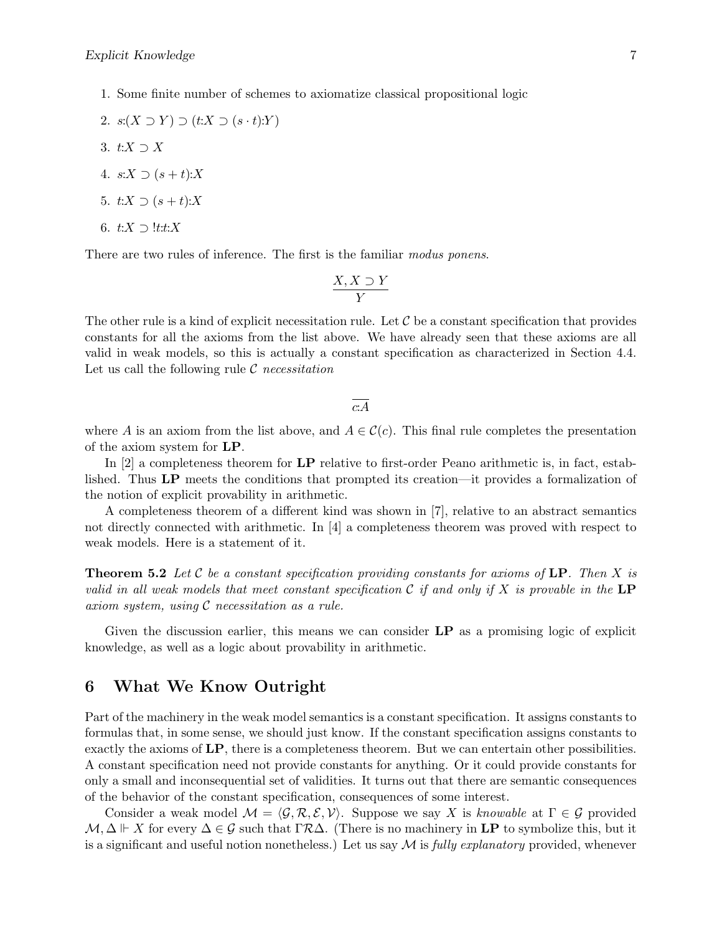2. 
$$
s(X \supset Y) \supset (t:X \supset (s \cdot t):Y)
$$

- 3.  $t:X\supset X$
- 4.  $s:X \supset (s+t):X$
- 5.  $t:X \supset (s+t):X$
- 6.  $t:X \supset \mathit{!t:t}:X$

There are two rules of inference. The first is the familiar modus ponens.

$$
\frac{X, X \supset Y}{Y}
$$

The other rule is a kind of explicit necessitation rule. Let  $\mathcal C$  be a constant specification that provides constants for all the axioms from the list above. We have already seen that these axioms are all valid in weak models, so this is actually a constant specification as characterized in Section 4.4. Let us call the following rule  $\mathcal C$  necessitation

c:A

where A is an axiom from the list above, and  $A \in \mathcal{C}(c)$ . This final rule completes the presentation of the axiom system for LP.

In [2] a completeness theorem for LP relative to first-order Peano arithmetic is, in fact, established. Thus LP meets the conditions that prompted its creation—it provides a formalization of the notion of explicit provability in arithmetic.

A completeness theorem of a different kind was shown in [7], relative to an abstract semantics not directly connected with arithmetic. In [4] a completeness theorem was proved with respect to weak models. Here is a statement of it.

**Theorem 5.2** Let C be a constant specification providing constants for axioms of LP. Then X is valid in all weak models that meet constant specification  $\mathcal C$  if and only if X is provable in the LP axiom system, using C necessitation as a rule.

Given the discussion earlier, this means we can consider  $LP$  as a promising logic of explicit knowledge, as well as a logic about provability in arithmetic.

### 6 What We Know Outright

Part of the machinery in the weak model semantics is a constant specification. It assigns constants to formulas that, in some sense, we should just know. If the constant specification assigns constants to exactly the axioms of LP, there is a completeness theorem. But we can entertain other possibilities. A constant specification need not provide constants for anything. Or it could provide constants for only a small and inconsequential set of validities. It turns out that there are semantic consequences of the behavior of the constant specification, consequences of some interest.

Consider a weak model  $\mathcal{M} = \langle \mathcal{G}, \mathcal{R}, \mathcal{E}, \mathcal{V} \rangle$ . Suppose we say X is knowable at  $\Gamma \in \mathcal{G}$  provided  $\mathcal{M}, \Delta \Vdash X$  for every  $\Delta \in \mathcal{G}$  such that  $\Gamma \mathcal{R} \Delta$ . (There is no machinery in LP to symbolize this, but it is a significant and useful notion nonetheless.) Let us say  $\mathcal M$  is fully explanatory provided, whenever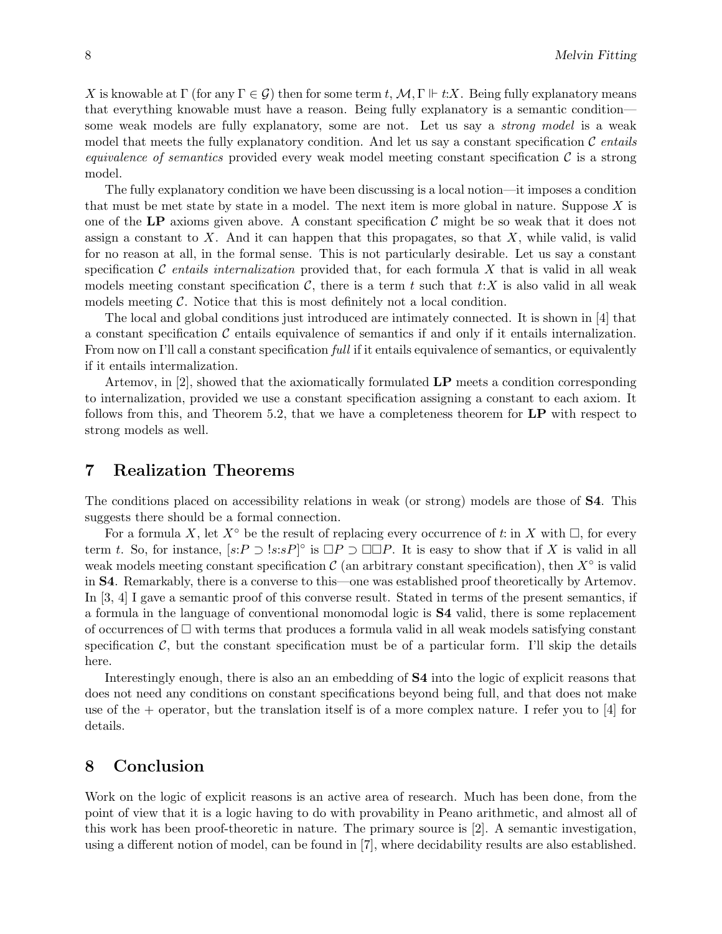X is knowable at  $\Gamma$  (for any  $\Gamma \in \mathcal{G}$ ) then for some term t,  $\mathcal{M}, \Gamma \Vdash t:X$ . Being fully explanatory means that everything knowable must have a reason. Being fully explanatory is a semantic condition some weak models are fully explanatory, some are not. Let us say a strong model is a weak model that meets the fully explanatory condition. And let us say a constant specification  $\mathcal C$  entails *equivalence of semantics* provided every weak model meeting constant specification  $\mathcal C$  is a strong model.

The fully explanatory condition we have been discussing is a local notion—it imposes a condition that must be met state by state in a model. The next item is more global in nature. Suppose  $X$  is one of the LP axioms given above. A constant specification  $\mathcal C$  might be so weak that it does not assign a constant to  $X$ . And it can happen that this propagates, so that  $X$ , while valid, is valid for no reason at all, in the formal sense. This is not particularly desirable. Let us say a constant specification C entails internalization provided that, for each formula X that is valid in all weak models meeting constant specification  $\mathcal{C}$ , there is a term t such that t:X is also valid in all weak models meeting  $\mathcal C$ . Notice that this is most definitely not a local condition.

The local and global conditions just introduced are intimately connected. It is shown in [4] that a constant specification  $\mathcal C$  entails equivalence of semantics if and only if it entails internalization. From now on I'll call a constant specification *full* if it entails equivalence of semantics, or equivalently if it entails intermalization.

Artemov, in  $[2]$ , showed that the axiomatically formulated  $\mathbf{LP}$  meets a condition corresponding to internalization, provided we use a constant specification assigning a constant to each axiom. It follows from this, and Theorem 5.2, that we have a completeness theorem for LP with respect to strong models as well.

### 7 Realization Theorems

The conditions placed on accessibility relations in weak (or strong) models are those of S4. This suggests there should be a formal connection.

For a formula X, let  $X^{\circ}$  be the result of replacing every occurrence of t: in X with  $\Box$ , for every term t. So, for instance,  $[s: P \supset \subseteq s: sP]^\circ$  is  $\Box P \supset \Box \Box P$ . It is easy to show that if X is valid in all weak models meeting constant specification  $\mathcal C$  (an arbitrary constant specification), then  $X^{\circ}$  is valid in S4. Remarkably, there is a converse to this—one was established proof theoretically by Artemov. In [3, 4] I gave a semantic proof of this converse result. Stated in terms of the present semantics, if a formula in the language of conventional monomodal logic is S4 valid, there is some replacement of occurrences of  $\Box$  with terms that produces a formula valid in all weak models satisfying constant specification  $\mathcal{C}$ , but the constant specification must be of a particular form. I'll skip the details here.

Interestingly enough, there is also an an embedding of S4 into the logic of explicit reasons that does not need any conditions on constant specifications beyond being full, and that does not make use of the  $+$  operator, but the translation itself is of a more complex nature. I refer you to [4] for details.

### 8 Conclusion

Work on the logic of explicit reasons is an active area of research. Much has been done, from the point of view that it is a logic having to do with provability in Peano arithmetic, and almost all of this work has been proof-theoretic in nature. The primary source is [2]. A semantic investigation, using a different notion of model, can be found in [7], where decidability results are also established.